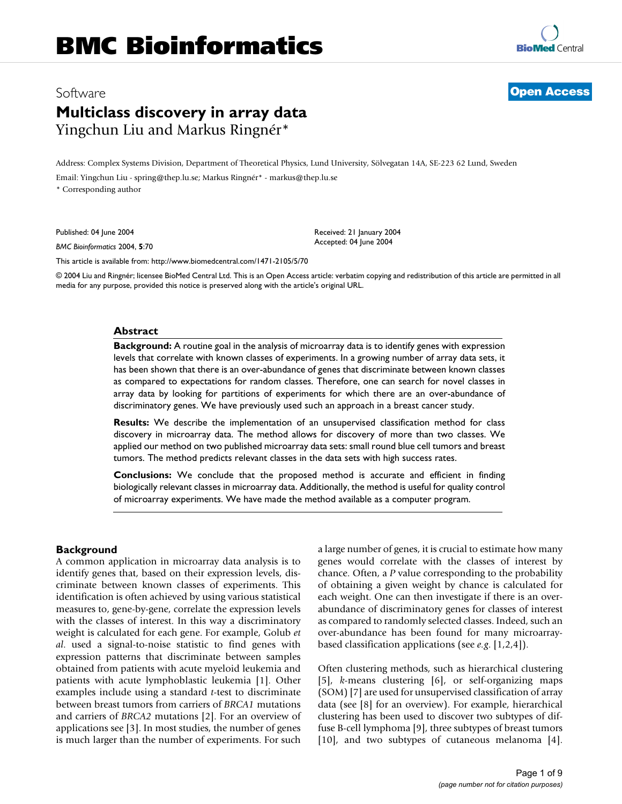# Software **[Open Access](http://www.biomedcentral.com/info/about/charter/) Multiclass discovery in array data** Yingchun Liu and Markus Ringnér\*

Address: Complex Systems Division, Department of Theoretical Physics, Lund University, Sölvegatan 14A, SE-223 62 Lund, Sweden Email: Yingchun Liu - spring@thep.lu.se; Markus Ringnér\* - markus@thep.lu.se \* Corresponding author

Published: 04 June 2004

*BMC Bioinformatics* 2004, **5**:70

[This article is available from: http://www.biomedcentral.com/1471-2105/5/70](http://www.biomedcentral.com/1471-2105/5/70)

© 2004 Liu and Ringnér; licensee BioMed Central Ltd. This is an Open Access article: verbatim copying and redistribution of this article are permitted in all media for any purpose, provided this notice is preserved along with the article's original URL.

Received: 21 January 2004 Accepted: 04 June 2004

#### **Abstract**

**Background:** A routine goal in the analysis of microarray data is to identify genes with expression levels that correlate with known classes of experiments. In a growing number of array data sets, it has been shown that there is an over-abundance of genes that discriminate between known classes as compared to expectations for random classes. Therefore, one can search for novel classes in array data by looking for partitions of experiments for which there are an over-abundance of discriminatory genes. We have previously used such an approach in a breast cancer study.

**Results:** We describe the implementation of an unsupervised classification method for class discovery in microarray data. The method allows for discovery of more than two classes. We applied our method on two published microarray data sets: small round blue cell tumors and breast tumors. The method predicts relevant classes in the data sets with high success rates.

**Conclusions:** We conclude that the proposed method is accurate and efficient in finding biologically relevant classes in microarray data. Additionally, the method is useful for quality control of microarray experiments. We have made the method available as a computer program.

## **Background**

A common application in microarray data analysis is to identify genes that, based on their expression levels, discriminate between known classes of experiments. This identification is often achieved by using various statistical measures to, gene-by-gene, correlate the expression levels with the classes of interest. In this way a discriminatory weight is calculated for each gene. For example, Golub *et al*. used a signal-to-noise statistic to find genes with expression patterns that discriminate between samples obtained from patients with acute myeloid leukemia and patients with acute lymphoblastic leukemia [1]. Other examples include using a standard *t*-test to discriminate between breast tumors from carriers of *BRCA1* mutations and carriers of *BRCA2* mutations [2]. For an overview of applications see [3]. In most studies, the number of genes is much larger than the number of experiments. For such a large number of genes, it is crucial to estimate how many genes would correlate with the classes of interest by chance. Often, a *P* value corresponding to the probability of obtaining a given weight by chance is calculated for each weight. One can then investigate if there is an overabundance of discriminatory genes for classes of interest as compared to randomly selected classes. Indeed, such an over-abundance has been found for many microarraybased classification applications (see *e.g*. [1,2,4]).

Often clustering methods, such as hierarchical clustering [5], *k*-means clustering [6], or self-organizing maps (SOM) [7] are used for unsupervised classification of array data (see [8] for an overview). For example, hierarchical clustering has been used to discover two subtypes of diffuse B-cell lymphoma [9], three subtypes of breast tumors [10], and two subtypes of cutaneous melanoma [4].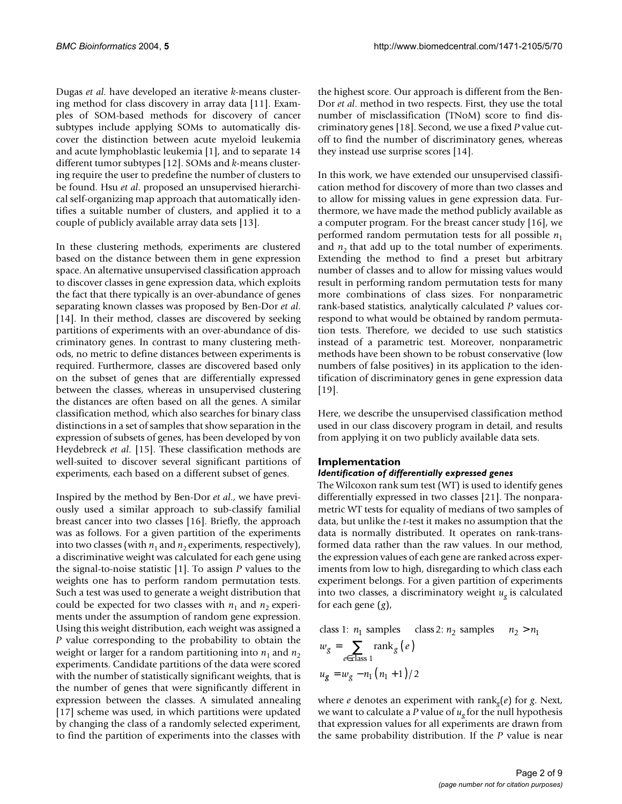Dugas *et al*. have developed an iterative *k*-means clustering method for class discovery in array data [11]. Examples of SOM-based methods for discovery of cancer subtypes include applying SOMs to automatically discover the distinction between acute myeloid leukemia and acute lymphoblastic leukemia [1], and to separate 14 different tumor subtypes [12]. SOMs and *k*-means clustering require the user to predefine the number of clusters to be found. Hsu *et al*. proposed an unsupervised hierarchical self-organizing map approach that automatically identifies a suitable number of clusters, and applied it to a couple of publicly available array data sets [13].

In these clustering methods, experiments are clustered based on the distance between them in gene expression space. An alternative unsupervised classification approach to discover classes in gene expression data, which exploits the fact that there typically is an over-abundance of genes separating known classes was proposed by Ben-Dor *et al*. [14]. In their method, classes are discovered by seeking partitions of experiments with an over-abundance of discriminatory genes. In contrast to many clustering methods, no metric to define distances between experiments is required. Furthermore, classes are discovered based only on the subset of genes that are differentially expressed between the classes, whereas in unsupervised clustering the distances are often based on all the genes. A similar classification method, which also searches for binary class distinctions in a set of samples that show separation in the expression of subsets of genes, has been developed by von Heydebreck *et al*. [15]. These classification methods are well-suited to discover several significant partitions of experiments, each based on a different subset of genes.

Inspired by the method by Ben-Dor *et al*., we have previously used a similar approach to sub-classify familial breast cancer into two classes [16]. Briefly, the approach was as follows. For a given partition of the experiments into two classes (with  $n_1$  and  $n_2$  experiments, respectively), a discriminative weight was calculated for each gene using the signal-to-noise statistic [1]. To assign *P* values to the weights one has to perform random permutation tests. Such a test was used to generate a weight distribution that could be expected for two classes with  $n_1$  and  $n_2$  experiments under the assumption of random gene expression. Using this weight distribution, each weight was assigned a *P* value corresponding to the probability to obtain the weight or larger for a random partitioning into  $n_1$  and  $n_2$ experiments. Candidate partitions of the data were scored with the number of statistically significant weights, that is the number of genes that were significantly different in expression between the classes. A simulated annealing [17] scheme was used, in which partitions were updated by changing the class of a randomly selected experiment, to find the partition of experiments into the classes with

the highest score. Our approach is different from the Ben-Dor *et al*. method in two respects. First, they use the total number of misclassification (TNoM) score to find discriminatory genes [18]. Second, we use a fixed *P* value cutoff to find the number of discriminatory genes, whereas they instead use surprise scores [14].

In this work, we have extended our unsupervised classification method for discovery of more than two classes and to allow for missing values in gene expression data. Furthermore, we have made the method publicly available as a computer program. For the breast cancer study [16], we performed random permutation tests for all possible  $n_1$ and  $n_2$  that add up to the total number of experiments. Extending the method to find a preset but arbitrary number of classes and to allow for missing values would result in performing random permutation tests for many more combinations of class sizes. For nonparametric rank-based statistics, analytically calculated *P* values correspond to what would be obtained by random permutation tests. Therefore, we decided to use such statistics instead of a parametric test. Moreover, nonparametric methods have been shown to be robust conservative (low numbers of false positives) in its application to the identification of discriminatory genes in gene expression data [19].

Here, we describe the unsupervised classification method used in our class discovery program in detail, and results from applying it on two publicly available data sets.

#### **Implementation**

#### *Identification of differentially expressed genes*

The Wilcoxon rank sum test (WT) is used to identify genes differentially expressed in two classes [21]. The nonparametric WT tests for equality of medians of two samples of data, but unlike the *t*-test it makes no assumption that the data is normally distributed. It operates on rank-transformed data rather than the raw values. In our method, the expression values of each gene are ranked across experiments from low to high, disregarding to which class each experiment belongs. For a given partition of experiments into two classes, a discriminatory weight  $u_g$  is calculated for each gene (*g*),

class 1:  $n_1$  samples class 2:  $n_2$  samples  $n_2 > n_1$ rank class 1  $w_{g} = \sum \text{ rank}_{g} (e)$  $u_g = w_g - n_1 (n_1 + 1)/2$ *e*  $= \sum$  rank<sub>g</sub>(e) ∈ ∑

where *e* denotes an experiment with rank*g*(*e*) for *g*. Next, we want to calculate a *P* value of *ug* for the null hypothesis that expression values for all experiments are drawn from the same probability distribution. If the *P* value is near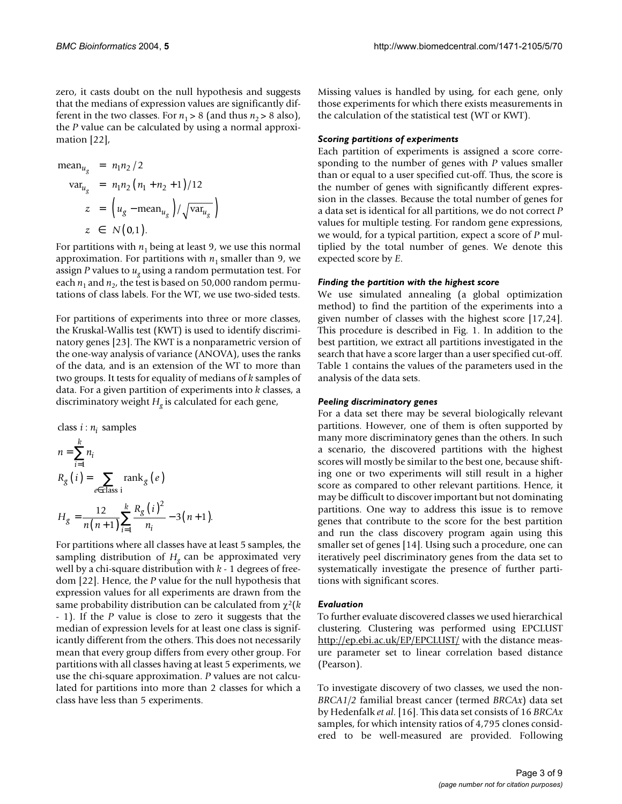zero, it casts doubt on the null hypothesis and suggests that the medians of expression values are significantly different in the two classes. For  $n_1 > 8$  (and thus  $n_2 > 8$  also), the *P* value can be calculated by using a normal approximation [22],

$$
\begin{aligned}\n\text{mean}_{u_g} &= n_1 n_2 / 2 \\
\text{var}_{u_g} &= n_1 n_2 \left( n_1 + n_2 + 1 \right) / 12 \\
&z = \left( u_g - \text{mean}_{u_g} \right) / \sqrt{\text{var}_{u_g}} \\
&z \in N(0, 1).\n\end{aligned}
$$

For partitions with  $n_1$  being at least 9, we use this normal approximation. For partitions with  $n_1$  smaller than 9, we assign *P* values to  $u_g$  using a random permutation test. For each  $n_1$  and  $n_2$ , the test is based on 50,000 random permutations of class labels. For the WT, we use two-sided tests.

For partitions of experiments into three or more classes, the Kruskal-Wallis test (KWT) is used to identify discriminatory genes [23]. The KWT is a nonparametric version of the one-way analysis of variance (ANOVA), uses the ranks of the data, and is an extension of the WT to more than two groups. It tests for equality of medians of *k* samples of data. For a given partition of experiments into *k* classes, a discriminatory weight *H<sub>g</sub>* is calculated for each gene,

 $class\ i:n_i$  samples

$$
n = \sum_{i=1}^{k} n_i
$$
  
\n
$$
R_g(i) = \sum_{e \in \text{class } i} \text{rank}_g(e)
$$
  
\n
$$
H_g = \frac{12}{n(n+1)} \sum_{i=1}^{k} \frac{R_g(i)^2}{n_i} - 3(n+1).
$$

For partitions where all classes have at least 5 samples, the sampling distribution of  $H<sub>g</sub>$  can be approximated very well by a chi-square distribution with *k* - 1 degrees of freedom [22]. Hence, the *P* value for the null hypothesis that expression values for all experiments are drawn from the same probability distribution can be calculated from χ2(*k* - 1). If the *P* value is close to zero it suggests that the median of expression levels for at least one class is significantly different from the others. This does not necessarily mean that every group differs from every other group. For partitions with all classes having at least 5 experiments, we use the chi-square approximation. *P* values are not calculated for partitions into more than 2 classes for which a class have less than 5 experiments.

Missing values is handled by using, for each gene, only those experiments for which there exists measurements in the calculation of the statistical test (WT or KWT).

## *Scoring partitions of experiments*

Each partition of experiments is assigned a score corresponding to the number of genes with *P* values smaller than or equal to a user specified cut-off. Thus, the score is the number of genes with significantly different expression in the classes. Because the total number of genes for a data set is identical for all partitions, we do not correct *P* values for multiple testing. For random gene expressions, we would, for a typical partition, expect a score of *P* multiplied by the total number of genes. We denote this expected score by *E*.

#### *Finding the partition with the highest score*

We use simulated annealing (a global optimization method) to find the partition of the experiments into a given number of classes with the highest score [17,24]. This procedure is described in Fig. [1](#page-3-0). In addition to the best partition, we extract all partitions investigated in the search that have a score larger than a user specified cut-off. Table [1](#page-4-0) contains the values of the parameters used in the analysis of the data sets.

#### *Peeling discriminatory genes*

For a data set there may be several biologically relevant partitions. However, one of them is often supported by many more discriminatory genes than the others. In such a scenario, the discovered partitions with the highest scores will mostly be similar to the best one, because shifting one or two experiments will still result in a higher score as compared to other relevant partitions. Hence, it may be difficult to discover important but not dominating partitions. One way to address this issue is to remove genes that contribute to the score for the best partition and run the class discovery program again using this smaller set of genes [14]. Using such a procedure, one can iteratively peel discriminatory genes from the data set to systematically investigate the presence of further partitions with significant scores.

## *Evaluation*

To further evaluate discovered classes we used hierarchical clustering. Clustering was performed using EPCLUST <http://ep.ebi.ac.uk/EP/EPCLUST/> with the distance measure parameter set to linear correlation based distance (Pearson).

To investigate discovery of two classes, we used the non-*BRCA1/2* familial breast cancer (termed *BRCAx*) data set by Hedenfalk *et al*. [16]. This data set consists of 16 *BRCAx* samples, for which intensity ratios of 4,795 clones considered to be well-measured are provided. Following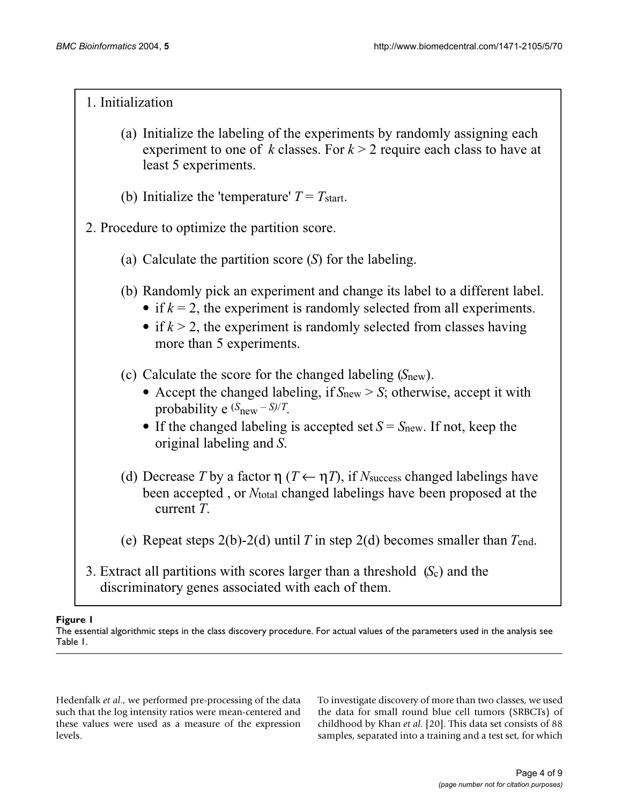- <span id="page-3-0"></span>1. Initialization
	- (a) Initialize the labeling of the experiments by randomly assigning each experiment to one of k classes. For  $k > 2$  require each class to have at least 5 experiments.
	- (b) Initialize the 'temperature'  $T = T<sub>start</sub>$ .
- 2. Procedure to optimize the partition score.
	- (a) Calculate the partition score  $(S)$  for the labeling.
	- (b) Randomly pick an experiment and change its label to a different label.
		- if  $k = 2$ , the experiment is randomly selected from all experiments.
		- if  $k > 2$ , the experiment is randomly selected from classes having more than 5 experiments.
	- (c) Calculate the score for the changed labeling  $(S_{\text{new}})$ .
		- Accept the changed labeling, if  $S_{\text{new}} > S$ ; otherwise, accept it with probability e  $(S_{\text{new}} - S)/T$ .
- If the changed labeling is accepted set  $S = S<sub>new</sub>$ . If not, keep the original labeling and S.
	- (d) Decrease T by a factor  $\eta$  ( $T \leftarrow \eta T$ ), if N<sub>success</sub> changed labelings have been accepted, or N<sub>total</sub> changed labelings have been proposed at the current  $T$ .
	- (e) Repeat steps  $2(b)$ -2(d) until T in step  $2(d)$  becomes smaller than  $T_{end}$ .
	- 3. Extract all partitions with scores larger than a threshold  $(S_c)$  and the discriminatory genes associated with each of them.

The essential algorithmic steps in the class discovery procedure. For actual values of the parameters used in the analysis see Table 1.

Hedenfalk *et al*., we performed pre-processing of the data such that the log intensity ratios were mean-centered and these values were used as a measure of the expression levels.

To investigate discovery of more than two classes, we used the data for small round blue cell tumors (SRBCTs) of childhood by Khan *et al*. [20]. This data set consists of 88 samples, separated into a training and a test set, for which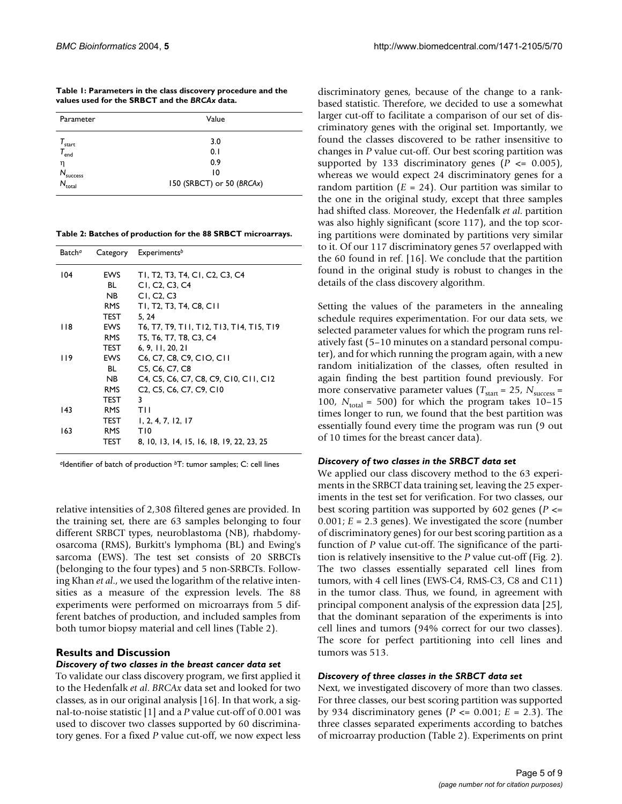<span id="page-4-0"></span>

| Table 1: Parameters in the class discovery procedure and the |
|--------------------------------------------------------------|
| values used for the SRBCT and the BRCAx data.                |

| Parameter                   | Value                     |
|-----------------------------|---------------------------|
| start                       | 3.0                       |
| $\mathsf{T}_{\mathsf{end}}$ | 0.1                       |
| η                           | 0.9                       |
| $N_{\text{success}}$        | 10                        |
| $N_{\rm total}$             | 150 (SRBCT) or 50 (BRCAx) |

<span id="page-4-1"></span>

| Batch <sup>a</sup> |            | Category Experiments <sup>b</sup>                                                                    |
|--------------------|------------|------------------------------------------------------------------------------------------------------|
| 104                | <b>EWS</b> | T1, T2, T3, T4, C1, C2, C3, C4                                                                       |
|                    | BL         | CI, C <sub>2</sub> , C <sub>3</sub> , C <sub>4</sub>                                                 |
|                    | NB.        | CI, C2, C3                                                                                           |
|                    | RMS.       | TI, T2, T3, T4, C8, CII                                                                              |
|                    | TEST       | 5.24                                                                                                 |
| I 18               | <b>EWS</b> | T6, T7, T9, T11, T12, T13, T14, T15, T19                                                             |
|                    | RMS.       | T5, T6, T7, T8, C3, C4                                                                               |
|                    | TEST       | 6, 9, 11, 20, 21                                                                                     |
| 119                | <b>EWS</b> | C6, C7, C8, C9, C1O, C11                                                                             |
|                    | BL         | C5, C6, C7, C8                                                                                       |
|                    | NB.        | C4, C5, C6, C7, C8, C9, C10, C11, C12                                                                |
|                    | RMS        | C <sub>2</sub> , C <sub>5</sub> , C <sub>6</sub> , C <sub>7</sub> , C <sub>9</sub> , C <sub>10</sub> |
|                    | TEST       | 3                                                                                                    |
| 143                | <b>RMS</b> | TH                                                                                                   |
|                    | TEST       | 1, 2, 4, 7, 12, 17                                                                                   |
| 163                | <b>RMS</b> | T <sub>10</sub>                                                                                      |
|                    | TEST       | 8, 10, 13, 14, 15, 16, 18, 19, 22, 23, 25                                                            |
|                    |            |                                                                                                      |

*a*Identifier of batch of production *b*T: tumor samples; C: cell lines

relative intensities of 2,308 filtered genes are provided. In the training set, there are 63 samples belonging to four different SRBCT types, neuroblastoma (NB), rhabdomyosarcoma (RMS), Burkitt's lymphoma (BL) and Ewing's sarcoma (EWS). The test set consists of 20 SRBCTs (belonging to the four types) and 5 non-SRBCTs. Following Khan *et al*., we used the logarithm of the relative intensities as a measure of the expression levels. The 88 experiments were performed on microarrays from 5 different batches of production, and included samples from both tumor biopsy material and cell lines (Table [2](#page-4-1)).

## **Results and Discussion**

#### *Discovery of two classes in the breast cancer data set*

To validate our class discovery program, we first applied it to the Hedenfalk *et al*. *BRCAx* data set and looked for two classes, as in our original analysis [16]. In that work, a signal-to-noise statistic [1] and a *P* value cut-off of 0.001 was used to discover two classes supported by 60 discriminatory genes. For a fixed *P* value cut-off, we now expect less discriminatory genes, because of the change to a rankbased statistic. Therefore, we decided to use a somewhat larger cut-off to facilitate a comparison of our set of discriminatory genes with the original set. Importantly, we found the classes discovered to be rather insensitive to changes in *P* value cut-off. Our best scoring partition was supported by 133 discriminatory genes  $(P \le 0.005)$ , whereas we would expect 24 discriminatory genes for a random partition  $(E = 24)$ . Our partition was similar to the one in the original study, except that three samples had shifted class. Moreover, the Hedenfalk *et al*. partition was also highly significant (score 117), and the top scoring partitions were dominated by partitions very similar to it. Of our 117 discriminatory genes 57 overlapped with the 60 found in ref. [16]. We conclude that the partition found in the original study is robust to changes in the details of the class discovery algorithm.

Setting the values of the parameters in the annealing schedule requires experimentation. For our data sets, we selected parameter values for which the program runs relatively fast (5–10 minutes on a standard personal computer), and for which running the program again, with a new random initialization of the classes, often resulted in again finding the best partition found previously. For more conservative parameter values ( $T_{\text{start}} = 25$ ,  $N_{\text{success}} =$ 100,  $N_{\text{total}}$  = 500) for which the program takes 10-15 times longer to run, we found that the best partition was essentially found every time the program was run (9 out of 10 times for the breast cancer data).

#### *Discovery of two classes in the SRBCT data set*

We applied our class discovery method to the 63 experiments in the SRBCT data training set, leaving the 25 experiments in the test set for verification. For two classes, our best scoring partition was supported by 602 genes (*P* <= 0.001; *E* = 2.3 genes). We investigated the score (number of discriminatory genes) for our best scoring partition as a function of *P* value cut-off. The significance of the partition is relatively insensitive to the *P* value cut-off (Fig. 2). The two classes essentially separated cell lines from tumors, with 4 cell lines (EWS-C4, RMS-C3, C8 and C11) in the tumor class. Thus, we found, in agreement with principal component analysis of the expression data [25], that the dominant separation of the experiments is into cell lines and tumors (94% correct for our two classes). The score for perfect partitioning into cell lines and tumors was 513.

## *Discovery of three classes in the SRBCT data set*

Next, we investigated discovery of more than two classes. For three classes, our best scoring partition was supported by 934 discriminatory genes (*P* <= 0.001; *E* = 2.3). The three classes separated experiments according to batches of microarray production (Table [2](#page-4-1)). Experiments on print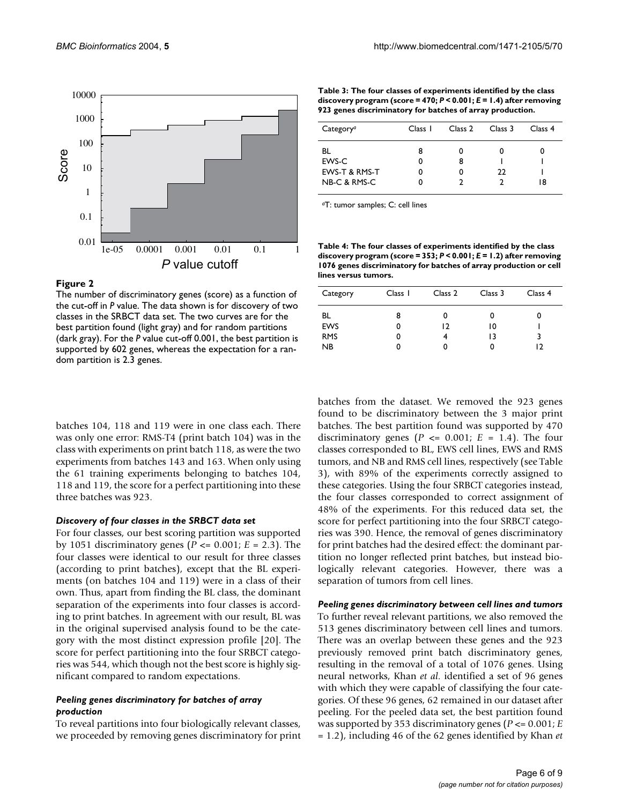

The number of discriminatory genes (score) as a function of the cut-off in *P* value. The data shown is for discovery of two classes in the SRBCT data set. The two curves are for the best partition found (light gray) and for random partitions (dark gray). For the *P* value cut-off 0.001, the best partition is supported by 602 genes, whereas the expectation for a random partition is 2.3 genes.

batches 104, 118 and 119 were in one class each. There was only one error: RMS-T4 (print batch 104) was in the class with experiments on print batch 118, as were the two experiments from batches 143 and 163. When only using the 61 training experiments belonging to batches 104, 118 and 119, the score for a perfect partitioning into these three batches was 923.

# *Discovery of four classes in the SRBCT data set*

For four classes, our best scoring partition was supported by 1051 discriminatory genes (*P* <= 0.001; *E* = 2.3). The four classes were identical to our result for three classes (according to print batches), except that the BL experiments (on batches 104 and 119) were in a class of their own. Thus, apart from finding the BL class, the dominant separation of the experiments into four classes is according to print batches. In agreement with our result, BL was in the original supervised analysis found to be the category with the most distinct expression profile [20]. The score for perfect partitioning into the four SRBCT categories was 544, which though not the best score is highly significant compared to random expectations.

# *Peeling genes discriminatory for batches of array production*

To reveal partitions into four biologically relevant classes, we proceeded by removing genes discriminatory for print

<span id="page-5-0"></span>**Table 3: The four classes of experiments identified by the class discovery program (score = 470;** *P* **< 0.001;** *E* **= 1.4) after removing 923 genes discriminatory for batches of array production.**

| Category <sup>a</sup> | Class 1 | Class <sub>2</sub> | Class 3 | Class <sub>4</sub> |
|-----------------------|---------|--------------------|---------|--------------------|
| ВL                    | 8       |                    |         |                    |
| EWS-C                 |         | 8                  |         |                    |
| EWS-T & RMS-T         |         | O                  | 22      |                    |
| NB-C & RMS-C          |         |                    |         | 18                 |

*<sup>a</sup>*T: tumor samples; C: cell lines

<span id="page-5-1"></span>**Table 4: The four classes of experiments identified by the class discovery program (score = 353;** *P* **< 0.001;** *E* **= 1.2) after removing 1076 genes discriminatory for batches of array production or cell lines versus tumors.**

| Category   | Class I | Class 2 | Class 3 | Class 4 |
|------------|---------|---------|---------|---------|
| BL         | 8       | 0       | 0       |         |
| <b>EWS</b> | 0       | 12      | 10      |         |
| <b>RMS</b> | 0       |         | 13      |         |
| <b>NB</b>  | 0       | 0       | 0       | 12      |
|            |         |         |         |         |

batches from the dataset. We removed the 923 genes found to be discriminatory between the 3 major print batches. The best partition found was supported by 470 discriminatory genes ( $P \le 0.001$ ;  $E = 1.4$ ). The four classes corresponded to BL, EWS cell lines, EWS and RMS tumors, and NB and RMS cell lines, respectively (see Table [3](#page-5-0)), with 89% of the experiments correctly assigned to these categories. Using the four SRBCT categories instead, the four classes corresponded to correct assignment of 48% of the experiments. For this reduced data set, the score for perfect partitioning into the four SRBCT categories was 390. Hence, the removal of genes discriminatory for print batches had the desired effect: the dominant partition no longer reflected print batches, but instead biologically relevant categories. However, there was a separation of tumors from cell lines.

# *Peeling genes discriminatory between cell lines and tumors*

To further reveal relevant partitions, we also removed the 513 genes discriminatory between cell lines and tumors. There was an overlap between these genes and the 923 previously removed print batch discriminatory genes, resulting in the removal of a total of 1076 genes. Using neural networks, Khan *et al*. identified a set of 96 genes with which they were capable of classifying the four categories. Of these 96 genes, 62 remained in our dataset after peeling. For the peeled data set, the best partition found was supported by 353 discriminatory genes (*P* <= 0.001; *E* = 1.2), including 46 of the 62 genes identified by Khan *et*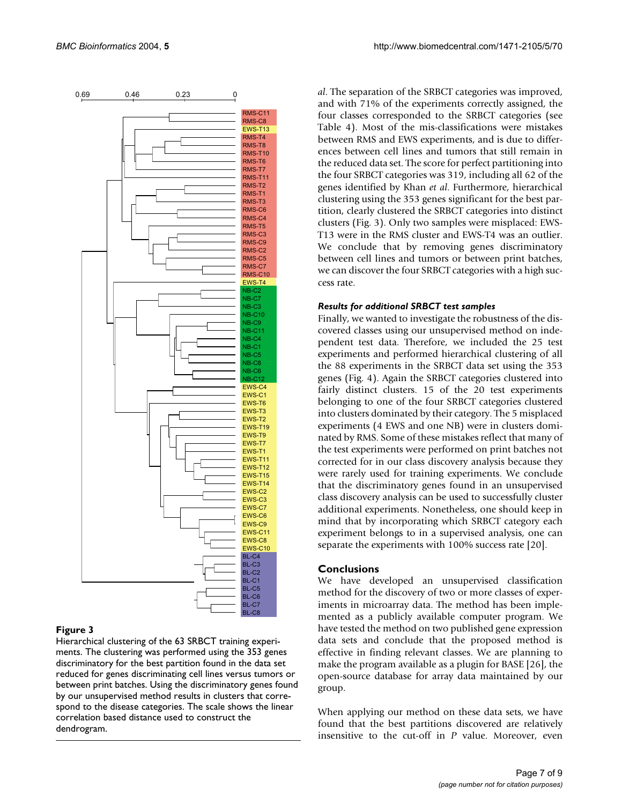

Hierarchical clustering of the 63 SRBCT training experiments. The clustering was performed using the 353 genes discriminatory for the best partition found in the data set reduced for genes discriminating cell lines versus tumors or between print batches. Using the discriminatory genes found by our unsupervised method results in clusters that correspond to the disease categories. The scale shows the linear correlation based distance used to construct the dendrogram.

*al*. The separation of the SRBCT categories was improved, and with 71% of the experiments correctly assigned, the four classes corresponded to the SRBCT categories (see Table [4\)](#page-5-1). Most of the mis-classifications were mistakes between RMS and EWS experiments, and is due to differences between cell lines and tumors that still remain in the reduced data set. The score for perfect partitioning into the four SRBCT categories was 319, including all 62 of the genes identified by Khan *et al*. Furthermore, hierarchical clustering using the 353 genes significant for the best partition, clearly clustered the SRBCT categories into distinct clusters (Fig. 3). Only two samples were misplaced: EWS-T13 were in the RMS cluster and EWS-T4 was an outlier. We conclude that by removing genes discriminatory between cell lines and tumors or between print batches, we can discover the four SRBCT categories with a high success rate.

# *Results for additional SRBCT test samples*

Finally, we wanted to investigate the robustness of the discovered classes using our unsupervised method on independent test data. Therefore, we included the 25 test experiments and performed hierarchical clustering of all the 88 experiments in the SRBCT data set using the 353 genes (Fig. [4\)](#page-7-0). Again the SRBCT categories clustered into fairly distinct clusters. 15 of the 20 test experiments belonging to one of the four SRBCT categories clustered into clusters dominated by their category. The 5 misplaced experiments (4 EWS and one NB) were in clusters dominated by RMS. Some of these mistakes reflect that many of the test experiments were performed on print batches not corrected for in our class discovery analysis because they were rarely used for training experiments. We conclude that the discriminatory genes found in an unsupervised class discovery analysis can be used to successfully cluster additional experiments. Nonetheless, one should keep in mind that by incorporating which SRBCT category each experiment belongs to in a supervised analysis, one can separate the experiments with 100% success rate [20].

# **Conclusions**

We have developed an unsupervised classification method for the discovery of two or more classes of experiments in microarray data. The method has been implemented as a publicly available computer program. We have tested the method on two published gene expression data sets and conclude that the proposed method is effective in finding relevant classes. We are planning to make the program available as a plugin for BASE [26], the open-source database for array data maintained by our group.

When applying our method on these data sets, we have found that the best partitions discovered are relatively insensitive to the cut-off in *P* value. Moreover, even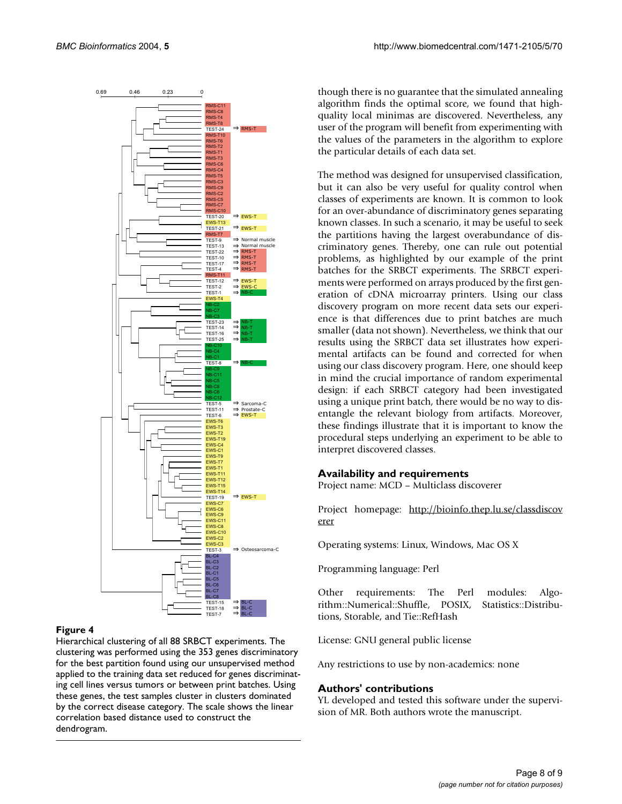<span id="page-7-0"></span>

Hierarchical clustering of all 88 SRBCT experiments. The clustering was performed using the 353 genes discriminatory for the best partition found using our unsupervised method applied to the training data set reduced for genes discriminating cell lines versus tumors or between print batches. Using these genes, the test samples cluster in clusters dominated by the correct disease category. The scale shows the linear correlation based distance used to construct the dendrogram.

though there is no guarantee that the simulated annealing algorithm finds the optimal score, we found that highquality local minimas are discovered. Nevertheless, any user of the program will benefit from experimenting with the values of the parameters in the algorithm to explore the particular details of each data set.

The method was designed for unsupervised classification, but it can also be very useful for quality control when classes of experiments are known. It is common to look for an over-abundance of discriminatory genes separating known classes. In such a scenario, it may be useful to seek the partitions having the largest overabundance of discriminatory genes. Thereby, one can rule out potential problems, as highlighted by our example of the print batches for the SRBCT experiments. The SRBCT experiments were performed on arrays produced by the first generation of cDNA microarray printers. Using our class discovery program on more recent data sets our experience is that differences due to print batches are much smaller (data not shown). Nevertheless, we think that our results using the SRBCT data set illustrates how experimental artifacts can be found and corrected for when using our class discovery program. Here, one should keep in mind the crucial importance of random experimental design: if each SRBCT category had been investigated using a unique print batch, there would be no way to disentangle the relevant biology from artifacts. Moreover, these findings illustrate that it is important to know the procedural steps underlying an experiment to be able to interpret discovered classes.

# **Availability and requirements**

Project name: MCD – Multiclass discoverer

Project homepage: [http://bioinfo.thep.lu.se/classdiscov](http://bioinfo.thep.lu.se/classdiscoverer) [erer](http://bioinfo.thep.lu.se/classdiscoverer)

Operating systems: Linux, Windows, Mac OS X

Programming language: Perl

Other requirements: The Perl modules: Algorithm::Numerical::Shuffle, POSIX, Statistics::Distributions, Storable, and Tie::RefHash

License: GNU general public license

Any restrictions to use by non-academics: none

# **Authors' contributions**

YL developed and tested this software under the supervision of MR. Both authors wrote the manuscript.